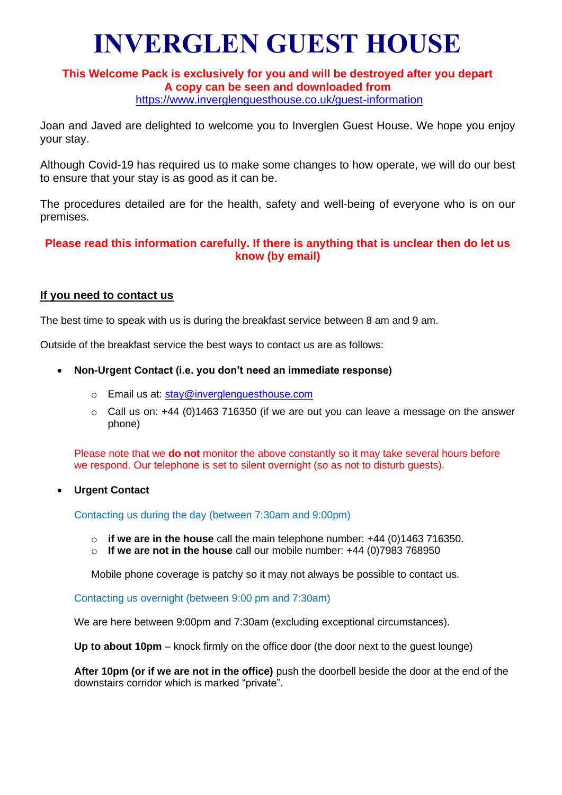# **INVERGLEN GUEST HOUSE**

### **This Welcome Pack is exclusively for you and will be destroyed after you depart A copy can be seen and downloaded from** <https://www.inverglenguesthouse.co.uk/guest-information>

Joan and Javed are delighted to welcome you to Inverglen Guest House. We hope you enjoy your stay.

Although Covid-19 has required us to make some changes to how operate, we will do our best to ensure that your stay is as good as it can be.

The procedures detailed are for the health, safety and well-being of everyone who is on our premises.

# **Please read this information carefully. If there is anything that is unclear then do let us know (by email)**

# **If you need to contact us**

The best time to speak with us is during the breakfast service between 8 am and 9 am.

Outside of the breakfast service the best ways to contact us are as follows:

- **Non-Urgent Contact (i.e. you don't need an immediate response)**
	- o Email us at: [stay@inverglenguesthouse.com](mailto:stay@inverglenguesthouse.com)
	- $\circ$  Call us on: +44 (0)1463 716350 (if we are out you can leave a message on the answer phone)

Please note that we **do not** monitor the above constantly so it may take several hours before we respond. Our telephone is set to silent overnight (so as not to disturb guests).

• **Urgent Contact**

Contacting us during the day (between 7:30am and 9:00pm)

- o **if we are in the house** call the main telephone number: +44 (0)1463 716350.
- o **If we are not in the house** call our mobile number: +44 (0)7983 768950

Mobile phone coverage is patchy so it may not always be possible to contact us.

Contacting us overnight (between 9:00 pm and 7:30am)

We are here between 9:00pm and 7:30am (excluding exceptional circumstances).

**Up to about 10pm** – knock firmly on the office door (the door next to the guest lounge)

**After 10pm (or if we are not in the office)** push the doorbell beside the door at the end of the downstairs corridor which is marked "private".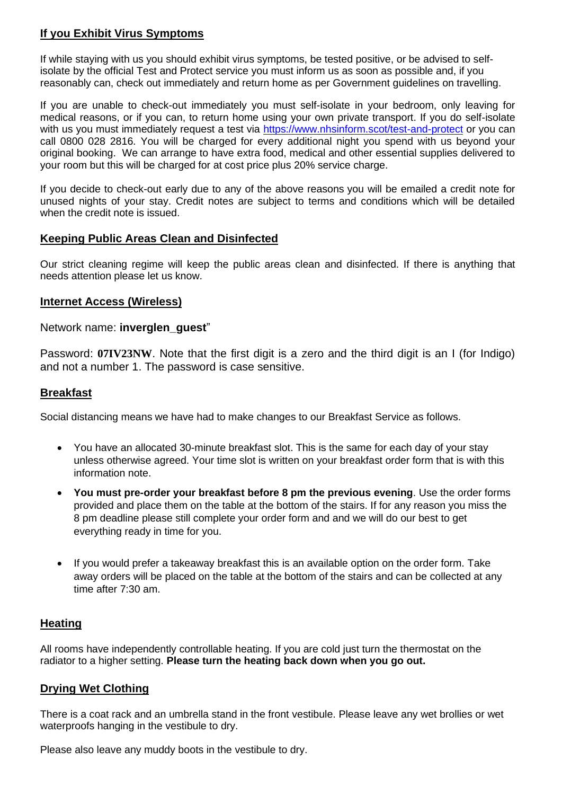# **If you Exhibit Virus Symptoms**

If while staying with us you should exhibit virus symptoms, be tested positive, or be advised to selfisolate by the official Test and Protect service you must inform us as soon as possible and, if you reasonably can, check out immediately and return home as per Government guidelines on travelling.

If you are unable to check-out immediately you must self-isolate in your bedroom, only leaving for medical reasons, or if you can, to return home using your own private transport. If you do self-isolate with us you must immediately request a test via<https://www.nhsinform.scot/test-and-protect> or you can call 0800 028 2816. You will be charged for every additional night you spend with us beyond your original booking. We can arrange to have extra food, medical and other essential supplies delivered to your room but this will be charged for at cost price plus 20% service charge.

If you decide to check-out early due to any of the above reasons you will be emailed a credit note for unused nights of your stay. Credit notes are subject to terms and conditions which will be detailed when the credit note is issued.

# **Keeping Public Areas Clean and Disinfected**

Our strict cleaning regime will keep the public areas clean and disinfected. If there is anything that needs attention please let us know.

## **Internet Access (Wireless)**

Network name: **inverglen\_guest**"

Password: **07IV23NW**. Note that the first digit is a zero and the third digit is an I (for Indigo) and not a number 1. The password is case sensitive.

### **Breakfast**

Social distancing means we have had to make changes to our Breakfast Service as follows.

- You have an allocated 30-minute breakfast slot. This is the same for each day of your stay unless otherwise agreed. Your time slot is written on your breakfast order form that is with this information note.
- **You must pre-order your breakfast before 8 pm the previous evening**. Use the order forms provided and place them on the table at the bottom of the stairs. If for any reason you miss the 8 pm deadline please still complete your order form and and we will do our best to get everything ready in time for you.
- If you would prefer a takeaway breakfast this is an available option on the order form. Take away orders will be placed on the table at the bottom of the stairs and can be collected at any time after 7:30 am.

# **Heating**

All rooms have independently controllable heating. If you are cold just turn the thermostat on the radiator to a higher setting. **Please turn the heating back down when you go out.**

# **Drying Wet Clothing**

There is a coat rack and an umbrella stand in the front vestibule. Please leave any wet brollies or wet waterproofs hanging in the vestibule to dry.

Please also leave any muddy boots in the vestibule to dry.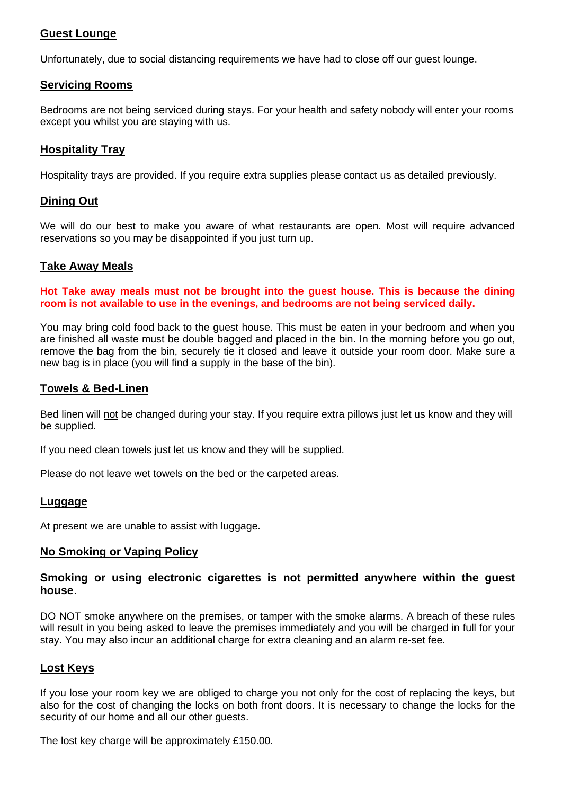# **Guest Lounge**

Unfortunately, due to social distancing requirements we have had to close off our guest lounge.

### **Servicing Rooms**

Bedrooms are not being serviced during stays. For your health and safety nobody will enter your rooms except you whilst you are staying with us.

## **Hospitality Tray**

Hospitality trays are provided. If you require extra supplies please contact us as detailed previously.

## **Dining Out**

We will do our best to make you aware of what restaurants are open. Most will require advanced reservations so you may be disappointed if you just turn up.

#### **Take Away Meals**

**Hot Take away meals must not be brought into the guest house. This is because the dining room is not available to use in the evenings, and bedrooms are not being serviced daily.**

You may bring cold food back to the guest house. This must be eaten in your bedroom and when you are finished all waste must be double bagged and placed in the bin. In the morning before you go out, remove the bag from the bin, securely tie it closed and leave it outside your room door. Make sure a new bag is in place (you will find a supply in the base of the bin).

#### **Towels & Bed-Linen**

Bed linen will not be changed during your stay. If you require extra pillows just let us know and they will be supplied.

If you need clean towels just let us know and they will be supplied.

Please do not leave wet towels on the bed or the carpeted areas.

#### **Luggage**

At present we are unable to assist with luggage.

#### **No Smoking or Vaping Policy**

#### **Smoking or using electronic cigarettes is not permitted anywhere within the guest house**.

DO NOT smoke anywhere on the premises, or tamper with the smoke alarms. A breach of these rules will result in you being asked to leave the premises immediately and you will be charged in full for your stay. You may also incur an additional charge for extra cleaning and an alarm re-set fee.

#### **Lost Keys**

If you lose your room key we are obliged to charge you not only for the cost of replacing the keys, but also for the cost of changing the locks on both front doors. It is necessary to change the locks for the security of our home and all our other guests.

The lost key charge will be approximately £150.00.